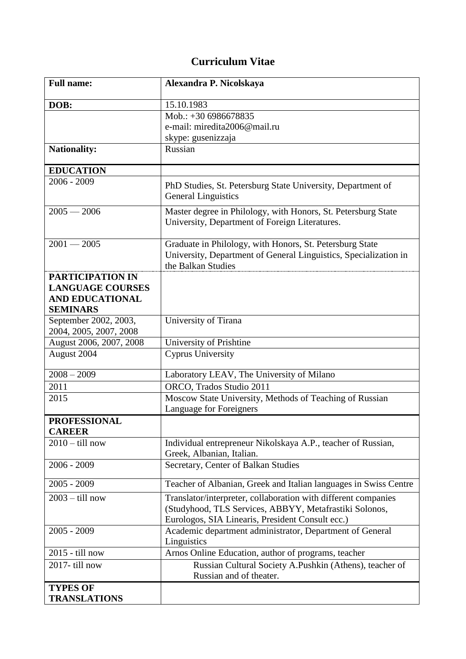## **Curriculum Vitae**

| <b>Full name:</b>                                                                               | Alexandra P. Nicolskaya                                                                                                                                                      |
|-------------------------------------------------------------------------------------------------|------------------------------------------------------------------------------------------------------------------------------------------------------------------------------|
| DOB:                                                                                            | 15.10.1983                                                                                                                                                                   |
|                                                                                                 | Mob.: +30 6986678835                                                                                                                                                         |
|                                                                                                 | e-mail: miredita2006@mail.ru                                                                                                                                                 |
|                                                                                                 | skype: gusenizzaja                                                                                                                                                           |
| <b>Nationality:</b>                                                                             | Russian                                                                                                                                                                      |
| <b>EDUCATION</b>                                                                                |                                                                                                                                                                              |
| $2006 - 2009$                                                                                   | PhD Studies, St. Petersburg State University, Department of<br><b>General Linguistics</b>                                                                                    |
| $2005 - 2006$                                                                                   | Master degree in Philology, with Honors, St. Petersburg State<br>University, Department of Foreign Literatures.                                                              |
| $2001 - 2005$                                                                                   | Graduate in Philology, with Honors, St. Petersburg State<br>University, Department of General Linguistics, Specialization in<br>the Balkan Studies                           |
| <b>PARTICIPATION IN</b><br><b>LANGUAGE COURSES</b><br><b>AND EDUCATIONAL</b><br><b>SEMINARS</b> |                                                                                                                                                                              |
| September 2002, 2003,<br>2004, 2005, 2007, 2008                                                 | University of Tirana                                                                                                                                                         |
| August 2006, 2007, 2008                                                                         | University of Prishtine                                                                                                                                                      |
| August 2004                                                                                     | <b>Cyprus University</b>                                                                                                                                                     |
| $2008 - 2009$                                                                                   | Laboratory LEAV, The University of Milano                                                                                                                                    |
| 2011                                                                                            | ORCO, Trados Studio 2011                                                                                                                                                     |
| 2015                                                                                            | Moscow State University, Methods of Teaching of Russian<br>Language for Foreigners                                                                                           |
| <b>PROFESSIONAL</b>                                                                             |                                                                                                                                                                              |
| <b>CAREER</b>                                                                                   |                                                                                                                                                                              |
| $2010 -$ till now                                                                               | Individual entrepreneur Nikolskaya A.P., teacher of Russian,<br>Greek, Albanian, Italian.                                                                                    |
| $2006 - 2009$                                                                                   | Secretary, Center of Balkan Studies                                                                                                                                          |
| $2005 - 2009$                                                                                   | Teacher of Albanian, Greek and Italian languages in Swiss Centre                                                                                                             |
| $2003 -$ till now                                                                               | Translator/interpreter, collaboration with different companies<br>(Studyhood, TLS Services, ABBYY, Metafrastiki Solonos,<br>Eurologos, SIA Linearis, President Consult ecc.) |
| $2005 - 2009$                                                                                   | Academic department administrator, Department of General<br>Linguistics                                                                                                      |
| 2015 - till now                                                                                 | Arnos Online Education, author of programs, teacher                                                                                                                          |
| 2017-till now                                                                                   | Russian Cultural Society A.Pushkin (Athens), teacher of<br>Russian and of theater.                                                                                           |
| <b>TYPES OF</b><br><b>TRANSLATIONS</b>                                                          |                                                                                                                                                                              |